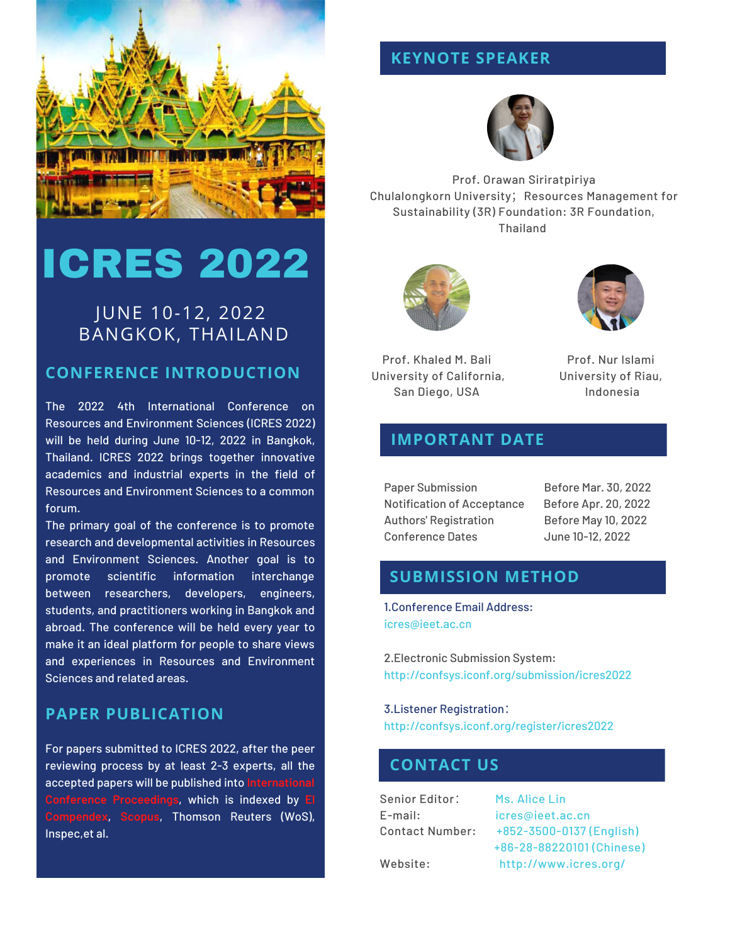

# ICRES 2022

## JUNE 10-12, 2022 BANGKOK, THAILAND

#### **CONFERENCE INTRODUCTION**

The 2022 4th International Conference on Resources and Environment Sciences (ICRES 2022) will be held during June 10-12, 2022 in Bangkok, Thailand. ICRES 2022 brings together innovative academics and industrial experts in the field of Resources and Environment Sciences to a common forum.

The primary goal of the conference is to promote research and developmental activities in Resources and Environment Sciences. Another goal is to promote scientific information interchange between researchers, developers, engineers, students, and practitioners working in Bangkok and abroad. The conference will be held every year to make it an ideal platform for people to share views and experiences in Resources and Environment Sciences and related areas.

## **PAPER PUBLICATION**

For papers submitted to ICRES 2022, after the peer reviewing process by at least 2-3 experts, all the accepted papers will be published into **International Conference Proceedings**, which is indexed by **EI Compendex**, **Scopus**, Thomson Reuters (WoS), Inspec,et al.

## **KEYNOTE SPEAKER**



Prof. Orawan Siriratpiriya Chulalongkorn University; Resources Management for Sustainability (3R) Foundation: 3R Foundation, Thailand





Prof. Khaled M. Bali University of California, San Diego, USA

Prof. Nur Islami University of Riau, Indonesia

### **IMPORTANT DATE**

Paper Submission Before Mar. 30, 2022 Notification of Acceptance Before Apr. 20, 2022 Authors' Registration Before May 10, 2022 Conference Dates June 10-12, 2022

#### $\boldsymbol{\mathsf{SUBMISSION\ METHOD}}$

Performance Optimization 1.Conference Email Address: [icres@ieet.ac.cn](mailto:icres@ieet.ac.cn)

2.Electronic [Submission](http://confsys.iconf.org/submission/icres2022) System: http://confsys.iconf.org/submission/icres2022

3.Listener Registration: http://confsys.iconf.org/register/icres2022

### **CONTACT US**

Senior Editor: Ms. Alice Lin

E-mail: [icres@ieet.ac.cn](mailto:icres@ieet.ac.cn) Contact Number: +852-3500-0137 (English) +86-28-88220101 (Chinese) Website: <http://www.icres.org/>